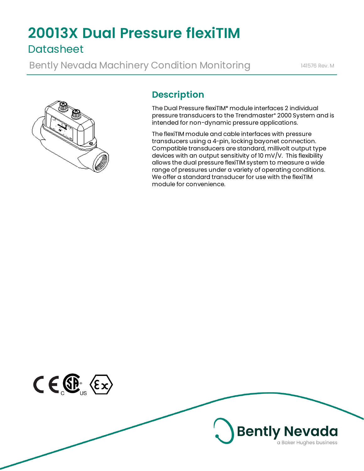# **20013X Dual Pressure flexiTIM Datasheet**

Bently Nevada Machinery Condition Monitoring 141576 Rev. M



# **Description**

The Dual Pressure flexiTIM\* module interfaces 2 individual pressure transducers to the Trendmaster\* 2000 System and is intended for non-dynamic pressure applications.

The flexiTIM module and cable interfaces with pressure transducers using a 4-pin, locking bayonet connection. Compatible transducers are standard, millivolt output type devices with an output sensitivity of 10 mV/V. This flexibility allows the dual pressure flexiTIM system to measure a wide range of pressures under a variety of operating conditions. We offer a standard transducer for use with the flexiTIM module for convenience.

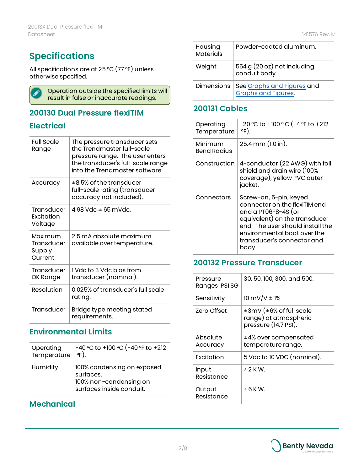# **Specifications**

All specifications are at 25 °C (77 °F) unless otherwise specified.



### **200130 Dual Pressure flexiTIM**

# **Electrical**

| <b>Full Scale</b><br>Range                 | The pressure transducer sets<br>the Trendmaster full-scale<br>pressure range. The user enters<br>the transducer's full-scale range<br>into the Trendmaster software. |
|--------------------------------------------|----------------------------------------------------------------------------------------------------------------------------------------------------------------------|
| Accuracy                                   | $\pm 8.5\%$ of the transducer<br>full-scale rating (transducer<br>accuracy not included).                                                                            |
| Transducer<br>Excitation<br>Voltage        | $4.98$ Vdc $\pm$ 65 mVdc.                                                                                                                                            |
| Maximum<br>Transducer<br>Supply<br>Current | 2.5 mA absolute maximum<br>available over temperature.                                                                                                               |
| Transducer<br>OK Range                     | I Vdc to 3 Vdc bias from<br>transducer (nominal).                                                                                                                    |
| Resolution                                 | 0.025% of transducer's full scale<br>rating.                                                                                                                         |
| Transducer                                 | Bridge type meeting stated<br>requirements.                                                                                                                          |

# **Environmental Limits**

| Operating   | -40 °C to +100 °C (-40 °F to +212                                                             |
|-------------|-----------------------------------------------------------------------------------------------|
| Temperature | 아).                                                                                           |
| Humidity    | 100% condensing on exposed<br>surfaces.<br>100% non-condensing on<br>surfaces inside conduit. |

# **Mechanical**

| Housing<br><b>Materials</b> | Powder-coated aluminum.                                  |
|-----------------------------|----------------------------------------------------------|
| Weight                      | 554 g (20 oz) not including<br>conduit body              |
| <b>Dimensions</b>           | See Graphs and Figures and<br><b>Graphs and Figures.</b> |

## **200131 Cables**

| Operating<br>Temperature | -20 °C to +100 ° C (-4 °F to +212<br>아).                                                                                                                                                                                  |
|--------------------------|---------------------------------------------------------------------------------------------------------------------------------------------------------------------------------------------------------------------------|
| Minimum<br>Bend Radius   | 25.4 mm (1.0 in).                                                                                                                                                                                                         |
| Construction             | 4-conductor (22 AWG) with foil<br>shield and drain wire (100%<br>coverage), yellow PVC outer<br>jacket.                                                                                                                   |
| Connectors               | Screw-on, 5-pin, keyed<br>connector on the flexiTIM end<br>and a PT06F8-4S (or<br>equivalent) on the transducer<br>end. The user should install the<br>environmental boot over the<br>transducer's connector and<br>body. |

### **200132 Pressure Transducer**

| Pressure<br>Ranges PSISG | 30, 50, 100, 300, and 500.                                               |
|--------------------------|--------------------------------------------------------------------------|
| Sensitivity              | $10 \text{ mV/V} \pm 1\%$ .                                              |
| Zero Offset              | ±3mV (±6% of full scale<br>range) at atmospheric<br>pressure (14.7 PSI). |
| Absolute<br>Accuracy     | ±4% over compensated<br>temperature range.                               |
| Fxcitation               | 5 Vdc to 10 VDC (nominal).                                               |
| Input<br>Resistance      | $>2$ K W.                                                                |
| Output<br>Resistance     | < 6 K W.                                                                 |

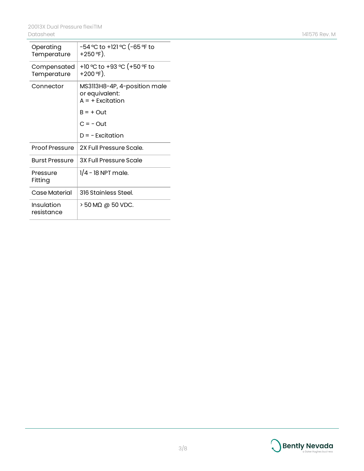| Operating<br>Temperature   | -54 °C to +121 °C (-65 °F to<br>+250 °F).                            |
|----------------------------|----------------------------------------------------------------------|
| Compensated<br>Temperature | +10 °C to +93 °C (+50 °F to<br>+200 °F).                             |
| Connector                  | MS3113H8-4P, 4-position male<br>or equivalent:<br>$A = +$ Excitation |
|                            | $B = +$ Out                                                          |
|                            | $C = -$ Out                                                          |
|                            | $D = -$ Excitation                                                   |
| <b>Proof Pressure</b>      | 2X Full Pressure Scale.                                              |
| <b>Burst Pressure</b>      | 3X Full Pressure Scale                                               |
| Pressure<br>Fitting        | $1/4$ – 18 NPT male.                                                 |
| Case Material              | 316 Stainless Steel.                                                 |
| Insulation<br>resistance   | $>$ 50 M $\Omega$ @ 50 VDC.                                          |

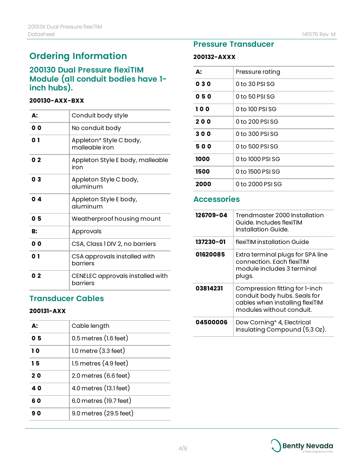# **Ordering Information**

### **200130 Dual Pressure flexiTIM Module (all conduit bodies have 1 inch hubs).**

#### **200130-AXX-BXX**

| А:             | Conduit body style                           |
|----------------|----------------------------------------------|
| 0 O            | No conduit body                              |
| 0 1            | Appleton® Style C body,<br>malleable iron    |
| 0 <sub>2</sub> | Appleton Style E body, malleable<br>iron     |
| 03             | Appleton Style C body,<br>aluminum           |
| 04             | Appleton Style E body,<br>aluminum           |
| 05             | Weatherproof housing mount                   |
| B:             | Approvals                                    |
| 0 <sub>0</sub> | CSA, Class 1 DIV 2, no barriers              |
| 0 1            | CSA approvals installed with<br>barriers     |
| 02             | CENELEC approvals installed with<br>barriers |

#### **Transducer Cables**

#### **200131-AXX**

| A: | Cable length                      |
|----|-----------------------------------|
| 05 | $0.5$ metres $(l.6$ feet)         |
| 10 | $1.0$ metre $(3.3$ feet)          |
| 15 | $1.5$ metres $(4.9 \text{ feet})$ |
| 20 | $2.0$ metres $(6.6$ feet)         |
| 40 | 4.0 metres (13.1 feet)            |
| 60 | 6.0 metres (19.7 feet)            |
| 90 | 9.0 metres (29.5 feet)            |

# **Pressure Transducer**

#### **200132-AXXX**

| А:   | Pressure rating  |
|------|------------------|
| 030  | 0 to 30 PSI SG   |
| 050  | 0 to 50 PSI SG   |
| 100  | 0 to 100 PSI SG  |
| 200  | 0 to 200 PSI SG  |
| 300  | 0 to 300 PSI SG  |
| 500  | 0 to 500 PSI SG  |
| 1000 | 0 to 1000 PSI SG |
| 1500 | 0 to 1500 PSI SG |
| 2000 | 0 to 2000 PSI SG |

### **Accessories**

| 126709-04 | Trendmaster 2000 Installation<br>Guide, Includes flexiTIM<br>Installation Guide.                                              |
|-----------|-------------------------------------------------------------------------------------------------------------------------------|
| 137230-01 | flexiTIM installation Guide                                                                                                   |
| 01620085  | Extra terminal plugs for SPA line<br>connection. Fach flexiTIM<br>module includes 3 terminal<br>plugs.                        |
| 03814231  | Compression fitting for 1-inch<br>conduit body hubs. Seals for<br>cables when installing flexiTIM<br>modules without conduit. |
| 04500006  | Dow Corning <sup>®</sup> 4, Electrical<br>Insulating Compound (5.3 Oz).                                                       |

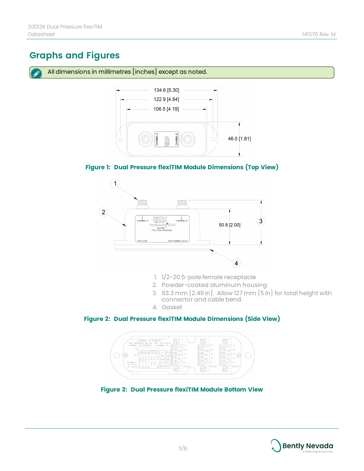# <span id="page-4-0"></span>**Graphs and Figures**

All dimensions in millimetres [inches] except as noted.



#### **Figure 1: Dual Pressure flexiTIM Module Dimensions (Top View)**



- 1. 1/2-20 5-pole female receptacle
- 2. Powder-coated aluminum housing
- 3. 63.3 mm [2.49 in]. Allow 127 mm [5 in] for total height with connector and cable bend.
- 4. Gasket

#### **Figure 2: Dual Pressure flexiTIM Module Dimensions (Side View)**



**Figure 3: Dual Pressure flexiTIM Module Bottom View**

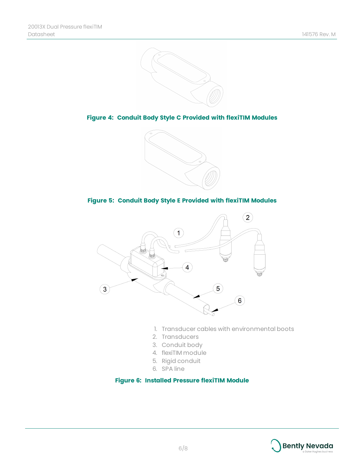

**Figure 4: Conduit Body Style C Provided with flexiTIM Modules**



#### **Figure 5: Conduit Body Style E Provided with flexiTIM Modules**



- 1. Transducer cables with environmental boots
- 2. Transducers
- 3. Conduit body
- 4. flexiTIM module
- 5. Rigid conduit
- 6. SPA line

#### **Figure 6: Installed Pressure flexiTIM Module**

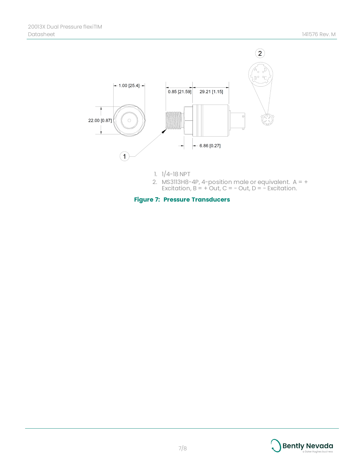

- 1. 1/4-18 NPT
- 2. MS3113H8-4P, 4-position male or equivalent. A = + Excitation,  $B = + Out$ ,  $C = - Out$ ,  $D = - Excitation$ .